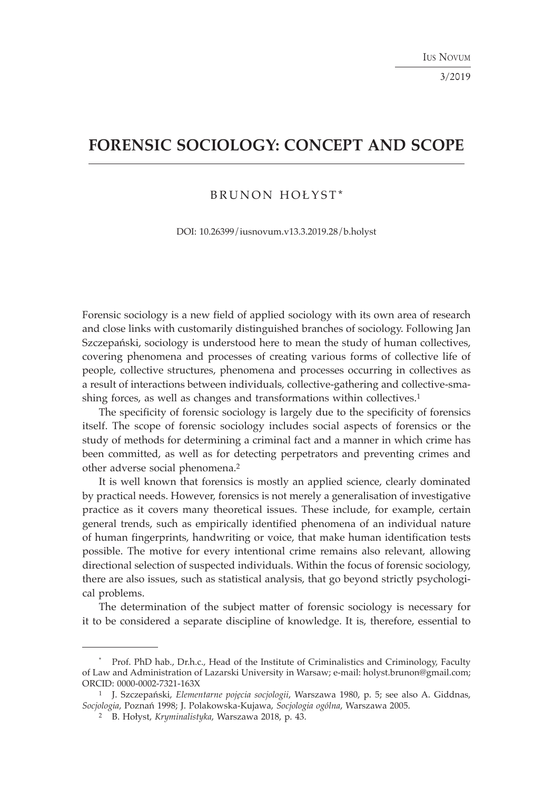3/2019

# **FORENSIC SOCIOLOGY: CONCEPT AND SCOPE**

# BRUNON HOŁYST\*

DOI: 10.26399/iusnovum.v13.3.2019.28/b.holyst

Forensic sociology is a new field of applied sociology with its own area of research and close links with customarily distinguished branches of sociology. Following Jan Szczepański, sociology is understood here to mean the study of human collectives, covering phenomena and processes of creating various forms of collective life of people, collective structures, phenomena and processes occurring in collectives as a result of interactions between individuals, collective-gathering and collective-smashing forces, as well as changes and transformations within collectives.<sup>1</sup>

The specificity of forensic sociology is largely due to the specificity of forensics itself. The scope of forensic sociology includes social aspects of forensics or the study of methods for determining a criminal fact and a manner in which crime has been committed, as well as for detecting perpetrators and preventing crimes and other adverse social phenomena.2

It is well known that forensics is mostly an applied science, clearly dominated by practical needs. However, forensics is not merely a generalisation of investigative practice as it covers many theoretical issues. These include, for example, certain general trends, such as empirically identified phenomena of an individual nature of human fingerprints, handwriting or voice, that make human identification tests possible. The motive for every intentional crime remains also relevant, allowing directional selection of suspected individuals. Within the focus of forensic sociology, there are also issues, such as statistical analysis, that go beyond strictly psychological problems.

The determination of the subject matter of forensic sociology is necessary for it to be considered a separate discipline of knowledge. It is, therefore, essential to

<sup>\*</sup> Prof. PhD hab., Dr.h.c., Head of the Institute of Criminalistics and Criminology, Faculty of Law and Administration of Lazarski University in Warsaw; e-mail: holyst.brunon@gmail.com; ORCID: 0000-0002-7321-163X

<sup>1</sup> J. Szczepański, *Elementarne pojęcia socjologii*, Warszawa 1980, p. 5; see also A. Giddnas, *Socjologia*, Poznań 1998; J. Polakowska-Kujawa, *Socjologia ogólna*, Warszawa 2005.

<sup>2</sup> B. Hołyst, *Kryminalistyka*, Warszawa 2018, p. 43.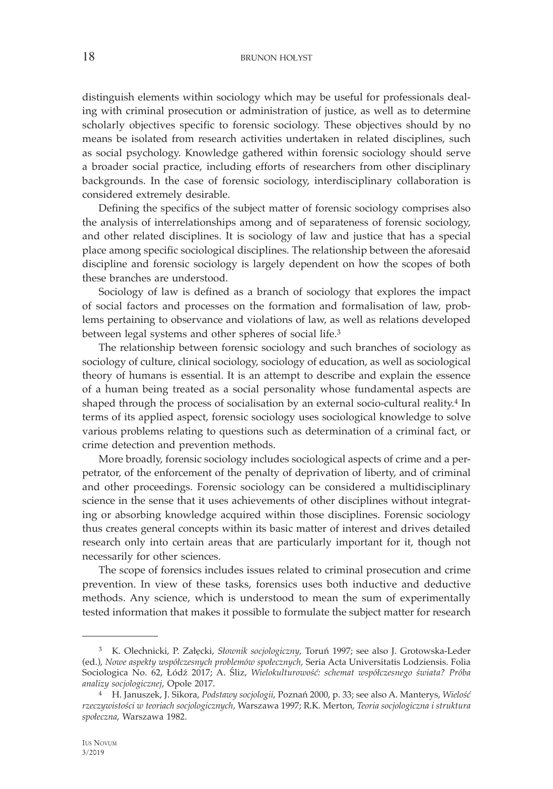distinguish elements within sociology which may be useful for professionals dealing with criminal prosecution or administration of justice, as well as to determine scholarly objectives specific to forensic sociology. These objectives should by no means be isolated from research activities undertaken in related disciplines, such as social psychology. Knowledge gathered within forensic sociology should serve a broader social practice, including efforts of researchers from other disciplinary backgrounds. In the case of forensic sociology, interdisciplinary collaboration is considered extremely desirable.

Defining the specifics of the subject matter of forensic sociology comprises also the analysis of interrelationships among and of separateness of forensic sociology, and other related disciplines. It is sociology of law and justice that has a special place among specific sociological disciplines. The relationship between the aforesaid discipline and forensic sociology is largely dependent on how the scopes of both these branches are understood.

Sociology of law is defined as a branch of sociology that explores the impact of social factors and processes on the formation and formalisation of law, problems pertaining to observance and violations of law, as well as relations developed between legal systems and other spheres of social life.3

The relationship between forensic sociology and such branches of sociology as sociology of culture, clinical sociology, sociology of education, as well as sociological theory of humans is essential. It is an attempt to describe and explain the essence of a human being treated as a social personality whose fundamental aspects are shaped through the process of socialisation by an external socio-cultural reality.<sup>4</sup> In terms of its applied aspect, forensic sociology uses sociological knowledge to solve various problems relating to questions such as determination of a criminal fact, or crime detection and prevention methods.

More broadly, forensic sociology includes sociological aspects of crime and a perpetrator, of the enforcement of the penalty of deprivation of liberty, and of criminal and other proceedings. Forensic sociology can be considered a multidisciplinary science in the sense that it uses achievements of other disciplines without integrating or absorbing knowledge acquired within those disciplines. Forensic sociology thus creates general concepts within its basic matter of interest and drives detailed research only into certain areas that are particularly important for it, though not necessarily for other sciences.

The scope of forensics includes issues related to criminal prosecution and crime prevention. In view of these tasks, forensics uses both inductive and deductive methods. Any science, which is understood to mean the sum of experimentally tested information that makes it possible to formulate the subject matter for research

<sup>3</sup> K. Olechnicki, P. Załęcki, *Słownik socjologiczny*, Toruń 1997; see also J. Grotowska-Leder (ed.), *Nowe aspekty współczesnych problemów społecznych*, Seria Acta Universitatis Lodziensis. Folia Sociologica No. 62, Łódź 2017; A. Śliz, *Wielokulturowość: schemat współczesnego świata? Próba analizy socjologicznej*, Opole 2017.

<sup>4</sup> H. Januszek, J. Sikora, *Podstawy socjologii*, Poznań 2000, p. 33; see also A. Manterys, *Wielość rzeczywistości w teoriach socjologicznych*, Warszawa 1997; R.K. Merton, *Teoria socjologiczna i struktura społeczna*, Warszawa 1982.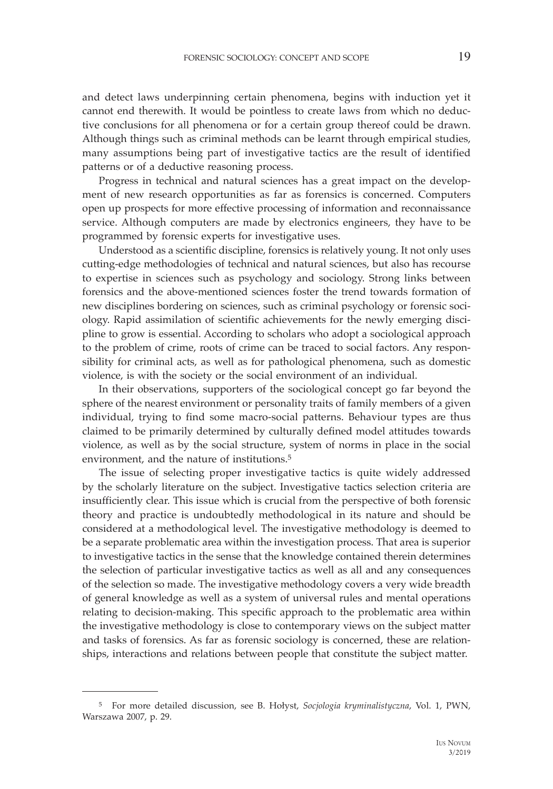and detect laws underpinning certain phenomena, begins with induction yet it cannot end therewith. It would be pointless to create laws from which no deductive conclusions for all phenomena or for a certain group thereof could be drawn. Although things such as criminal methods can be learnt through empirical studies, many assumptions being part of investigative tactics are the result of identified patterns or of a deductive reasoning process.

Progress in technical and natural sciences has a great impact on the development of new research opportunities as far as forensics is concerned. Computers open up prospects for more effective processing of information and reconnaissance service. Although computers are made by electronics engineers, they have to be programmed by forensic experts for investigative uses.

Understood as a scientific discipline, forensics is relatively young. It not only uses cutting-edge methodologies of technical and natural sciences, but also has recourse to expertise in sciences such as psychology and sociology. Strong links between forensics and the above-mentioned sciences foster the trend towards formation of new disciplines bordering on sciences, such as criminal psychology or forensic sociology. Rapid assimilation of scientific achievements for the newly emerging discipline to grow is essential. According to scholars who adopt a sociological approach to the problem of crime, roots of crime can be traced to social factors. Any responsibility for criminal acts, as well as for pathological phenomena, such as domestic violence, is with the society or the social environment of an individual.

In their observations, supporters of the sociological concept go far beyond the sphere of the nearest environment or personality traits of family members of a given individual, trying to find some macro-social patterns. Behaviour types are thus claimed to be primarily determined by culturally defined model attitudes towards violence, as well as by the social structure, system of norms in place in the social environment, and the nature of institutions.5

The issue of selecting proper investigative tactics is quite widely addressed by the scholarly literature on the subject. Investigative tactics selection criteria are insufficiently clear. This issue which is crucial from the perspective of both forensic theory and practice is undoubtedly methodological in its nature and should be considered at a methodological level. The investigative methodology is deemed to be a separate problematic area within the investigation process. That area is superior to investigative tactics in the sense that the knowledge contained therein determines the selection of particular investigative tactics as well as all and any consequences of the selection so made. The investigative methodology covers a very wide breadth of general knowledge as well as a system of universal rules and mental operations relating to decision-making. This specific approach to the problematic area within the investigative methodology is close to contemporary views on the subject matter and tasks of forensics. As far as forensic sociology is concerned, these are relationships, interactions and relations between people that constitute the subject matter.

<sup>5</sup> For more detailed discussion, see B. Hołyst, *Socjologia kryminalistyczna*, Vol. 1, PWN, Warszawa 2007, p. 29.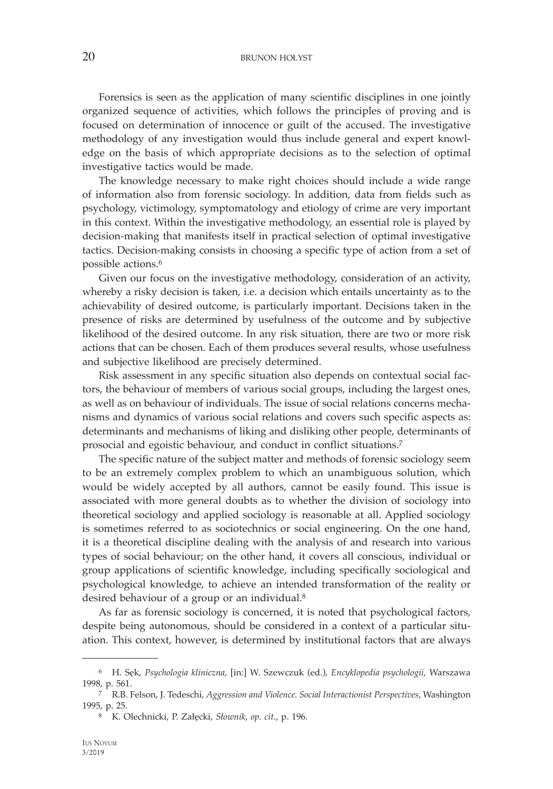Forensics is seen as the application of many scientific disciplines in one jointly organized sequence of activities, which follows the principles of proving and is focused on determination of innocence or guilt of the accused. The investigative methodology of any investigation would thus include general and expert knowledge on the basis of which appropriate decisions as to the selection of optimal investigative tactics would be made.

The knowledge necessary to make right choices should include a wide range of information also from forensic sociology. In addition, data from fields such as psychology, victimology, symptomatology and etiology of crime are very important in this context. Within the investigative methodology, an essential role is played by decision-making that manifests itself in practical selection of optimal investigative tactics. Decision-making consists in choosing a specific type of action from a set of possible actions.6

Given our focus on the investigative methodology, consideration of an activity, whereby a risky decision is taken, i.e. a decision which entails uncertainty as to the achievability of desired outcome, is particularly important. Decisions taken in the presence of risks are determined by usefulness of the outcome and by subjective likelihood of the desired outcome. In any risk situation, there are two or more risk actions that can be chosen. Each of them produces several results, whose usefulness and subjective likelihood are precisely determined.

Risk assessment in any specific situation also depends on contextual social factors, the behaviour of members of various social groups, including the largest ones, as well as on behaviour of individuals. The issue of social relations concerns mechanisms and dynamics of various social relations and covers such specific aspects as: determinants and mechanisms of liking and disliking other people, determinants of prosocial and egoistic behaviour, and conduct in conflict situations.7

The specific nature of the subject matter and methods of forensic sociology seem to be an extremely complex problem to which an unambiguous solution, which would be widely accepted by all authors, cannot be easily found. This issue is associated with more general doubts as to whether the division of sociology into theoretical sociology and applied sociology is reasonable at all. Applied sociology is sometimes referred to as sociotechnics or social engineering. On the one hand, it is a theoretical discipline dealing with the analysis of and research into various types of social behaviour; on the other hand, it covers all conscious, individual or group applications of scientific knowledge, including specifically sociological and psychological knowledge, to achieve an intended transformation of the reality or desired behaviour of a group or an individual.8

As far as forensic sociology is concerned, it is noted that psychological factors, despite being autonomous, should be considered in a context of a particular situation. This context, however, is determined by institutional factors that are always

<sup>6</sup> H. Sęk, *Psychologia kliniczna*, [in:] W. Szewczuk (ed.), *Encyklopedia psychologii*, Warszawa 1998, p. 561.

<sup>7</sup> R.B. Felson, J. Tedeschi, *Aggression and Violence. Social Interactionist Perspectives*, Washington 1995, p. 25.

<sup>8</sup> K. Olechnicki, P. Załęcki, *Słownik*, *op. cit*., p. 196.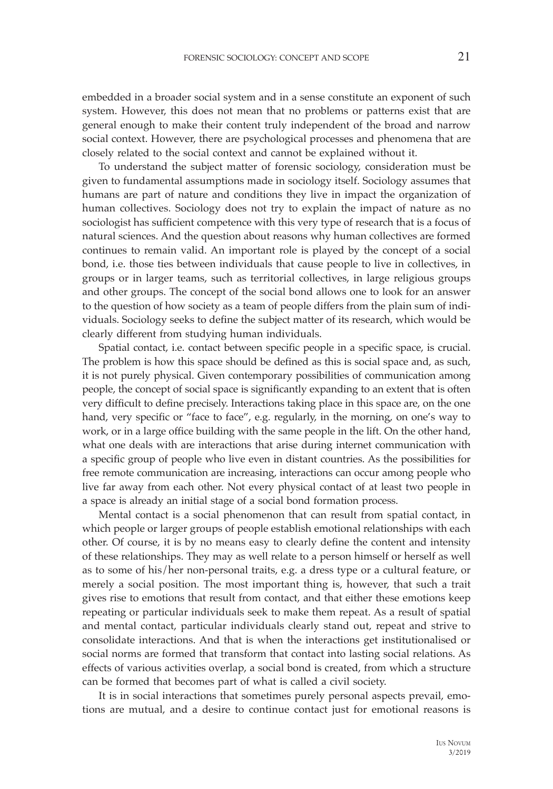embedded in a broader social system and in a sense constitute an exponent of such system. However, this does not mean that no problems or patterns exist that are general enough to make their content truly independent of the broad and narrow social context. However, there are psychological processes and phenomena that are closely related to the social context and cannot be explained without it.

To understand the subject matter of forensic sociology, consideration must be given to fundamental assumptions made in sociology itself. Sociology assumes that humans are part of nature and conditions they live in impact the organization of human collectives. Sociology does not try to explain the impact of nature as no sociologist has sufficient competence with this very type of research that is a focus of natural sciences. And the question about reasons why human collectives are formed continues to remain valid. An important role is played by the concept of a social bond, i.e. those ties between individuals that cause people to live in collectives, in groups or in larger teams, such as territorial collectives, in large religious groups and other groups. The concept of the social bond allows one to look for an answer to the question of how society as a team of people differs from the plain sum of individuals. Sociology seeks to define the subject matter of its research, which would be clearly different from studying human individuals.

Spatial contact, i.e. contact between specific people in a specific space, is crucial. The problem is how this space should be defined as this is social space and, as such, it is not purely physical. Given contemporary possibilities of communication among people, the concept of social space is significantly expanding to an extent that is often very difficult to define precisely. Interactions taking place in this space are, on the one hand, very specific or "face to face", e.g. regularly, in the morning, on one's way to work, or in a large office building with the same people in the lift. On the other hand, what one deals with are interactions that arise during internet communication with a specific group of people who live even in distant countries. As the possibilities for free remote communication are increasing, interactions can occur among people who live far away from each other. Not every physical contact of at least two people in a space is already an initial stage of a social bond formation process.

Mental contact is a social phenomenon that can result from spatial contact, in which people or larger groups of people establish emotional relationships with each other. Of course, it is by no means easy to clearly define the content and intensity of these relationships. They may as well relate to a person himself or herself as well as to some of his/her non-personal traits, e.g. a dress type or a cultural feature, or merely a social position. The most important thing is, however, that such a trait gives rise to emotions that result from contact, and that either these emotions keep repeating or particular individuals seek to make them repeat. As a result of spatial and mental contact, particular individuals clearly stand out, repeat and strive to consolidate interactions. And that is when the interactions get institutionalised or social norms are formed that transform that contact into lasting social relations. As effects of various activities overlap, a social bond is created, from which a structure can be formed that becomes part of what is called a civil society.

It is in social interactions that sometimes purely personal aspects prevail, emotions are mutual, and a desire to continue contact just for emotional reasons is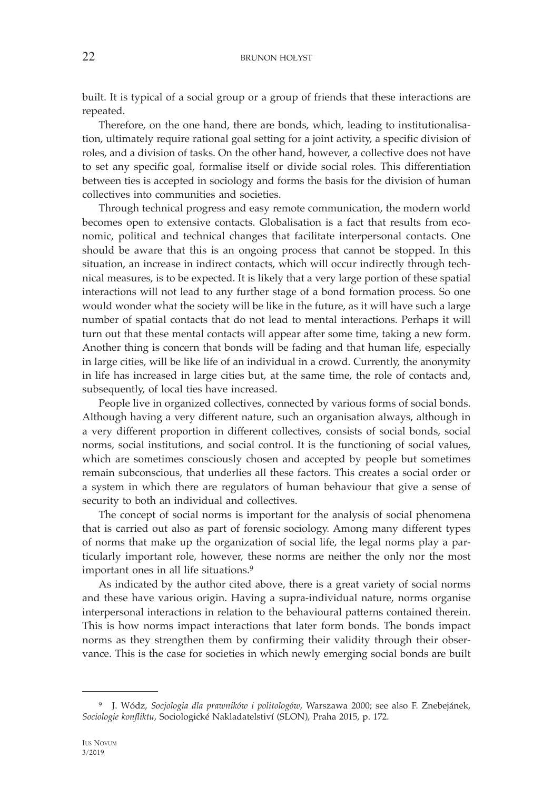built. It is typical of a social group or a group of friends that these interactions are repeated.

Therefore, on the one hand, there are bonds, which, leading to institutionalisation, ultimately require rational goal setting for a joint activity, a specific division of roles, and a division of tasks. On the other hand, however, a collective does not have to set any specific goal, formalise itself or divide social roles. This differentiation between ties is accepted in sociology and forms the basis for the division of human collectives into communities and societies.

Through technical progress and easy remote communication, the modern world becomes open to extensive contacts. Globalisation is a fact that results from economic, political and technical changes that facilitate interpersonal contacts. One should be aware that this is an ongoing process that cannot be stopped. In this situation, an increase in indirect contacts, which will occur indirectly through technical measures, is to be expected. It is likely that a very large portion of these spatial interactions will not lead to any further stage of a bond formation process. So one would wonder what the society will be like in the future, as it will have such a large number of spatial contacts that do not lead to mental interactions. Perhaps it will turn out that these mental contacts will appear after some time, taking a new form. Another thing is concern that bonds will be fading and that human life, especially in large cities, will be like life of an individual in a crowd. Currently, the anonymity in life has increased in large cities but, at the same time, the role of contacts and, subsequently, of local ties have increased.

People live in organized collectives, connected by various forms of social bonds. Although having a very different nature, such an organisation always, although in a very different proportion in different collectives, consists of social bonds, social norms, social institutions, and social control. It is the functioning of social values, which are sometimes consciously chosen and accepted by people but sometimes remain subconscious, that underlies all these factors. This creates a social order or a system in which there are regulators of human behaviour that give a sense of security to both an individual and collectives.

The concept of social norms is important for the analysis of social phenomena that is carried out also as part of forensic sociology. Among many different types of norms that make up the organization of social life, the legal norms play a particularly important role, however, these norms are neither the only nor the most important ones in all life situations.9

As indicated by the author cited above, there is a great variety of social norms and these have various origin. Having a supra-individual nature, norms organise interpersonal interactions in relation to the behavioural patterns contained therein. This is how norms impact interactions that later form bonds. The bonds impact norms as they strengthen them by confirming their validity through their observance. This is the case for societies in which newly emerging social bonds are built

<sup>9</sup> J. Wódz, *Socjologia dla prawników i politologów*, Warszawa 2000; see also F. Znebejánek, *Sociologie konfliktu*, Sociologické Nakladatelstiví (SLON), Praha 2015, p. 172.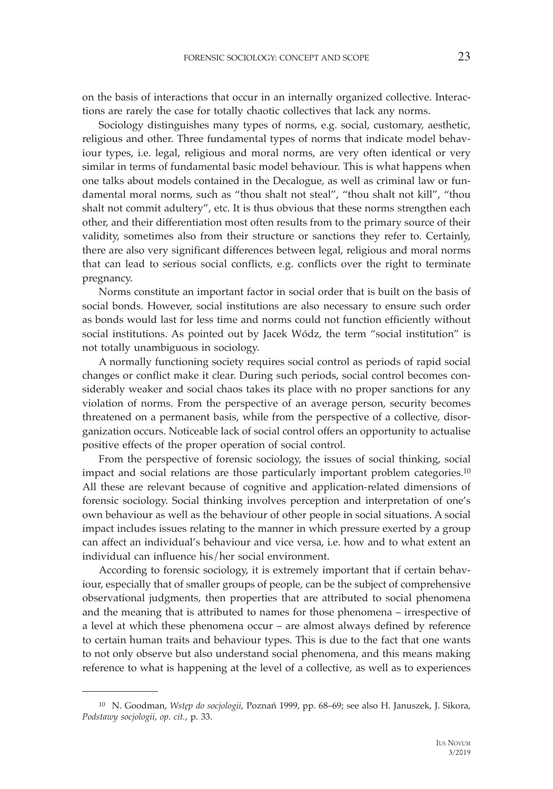on the basis of interactions that occur in an internally organized collective. Interactions are rarely the case for totally chaotic collectives that lack any norms.

Sociology distinguishes many types of norms, e.g. social, customary, aesthetic, religious and other. Three fundamental types of norms that indicate model behaviour types, i.e. legal, religious and moral norms, are very often identical or very similar in terms of fundamental basic model behaviour. This is what happens when one talks about models contained in the Decalogue, as well as criminal law or fundamental moral norms, such as "thou shalt not steal", "thou shalt not kill", "thou shalt not commit adultery", etc. It is thus obvious that these norms strengthen each other, and their differentiation most often results from to the primary source of their validity, sometimes also from their structure or sanctions they refer to. Certainly, there are also very significant differences between legal, religious and moral norms that can lead to serious social conflicts, e.g. conflicts over the right to terminate pregnancy.

Norms constitute an important factor in social order that is built on the basis of social bonds. However, social institutions are also necessary to ensure such order as bonds would last for less time and norms could not function efficiently without social institutions. As pointed out by Jacek Wódz, the term "social institution" is not totally unambiguous in sociology.

A normally functioning society requires social control as periods of rapid social changes or conflict make it clear. During such periods, social control becomes considerably weaker and social chaos takes its place with no proper sanctions for any violation of norms. From the perspective of an average person, security becomes threatened on a permanent basis, while from the perspective of a collective, disorganization occurs. Noticeable lack of social control offers an opportunity to actualise positive effects of the proper operation of social control.

From the perspective of forensic sociology, the issues of social thinking, social impact and social relations are those particularly important problem categories.10 All these are relevant because of cognitive and application-related dimensions of forensic sociology. Social thinking involves perception and interpretation of one's own behaviour as well as the behaviour of other people in social situations. A social impact includes issues relating to the manner in which pressure exerted by a group can affect an individual's behaviour and vice versa, i.e. how and to what extent an individual can influence his/her social environment.

According to forensic sociology, it is extremely important that if certain behaviour, especially that of smaller groups of people, can be the subject of comprehensive observational judgments, then properties that are attributed to social phenomena and the meaning that is attributed to names for those phenomena – irrespective of a level at which these phenomena occur – are almost always defined by reference to certain human traits and behaviour types. This is due to the fact that one wants to not only observe but also understand social phenomena, and this means making reference to what is happening at the level of a collective, as well as to experiences

<sup>10</sup> N. Goodman, *Wstęp do socjologii*, Poznań 1999, pp. 68–69; see also H. Januszek, J. Sikora, *Podstawy socjologii*, *op. cit.*, p. 33.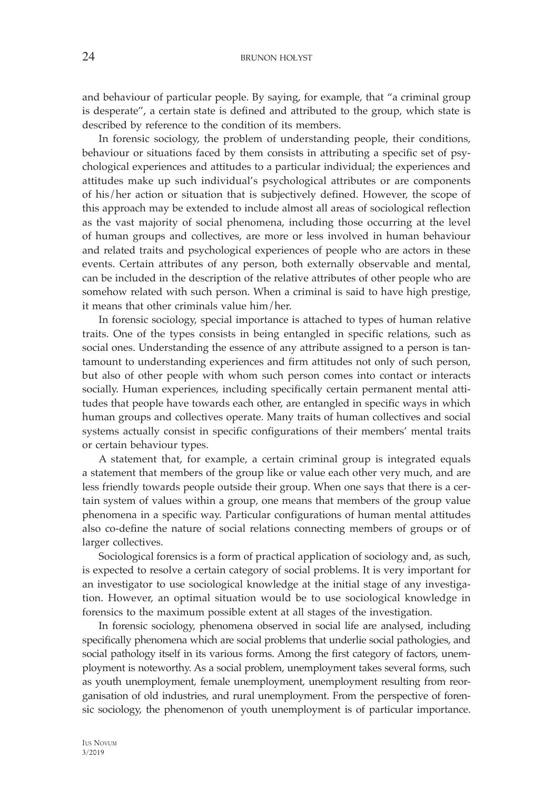and behaviour of particular people. By saying, for example, that "a criminal group is desperate", a certain state is defined and attributed to the group, which state is described by reference to the condition of its members.

In forensic sociology, the problem of understanding people, their conditions, behaviour or situations faced by them consists in attributing a specific set of psychological experiences and attitudes to a particular individual; the experiences and attitudes make up such individual's psychological attributes or are components of his/her action or situation that is subjectively defined. However, the scope of this approach may be extended to include almost all areas of sociological reflection as the vast majority of social phenomena, including those occurring at the level of human groups and collectives, are more or less involved in human behaviour and related traits and psychological experiences of people who are actors in these events. Certain attributes of any person, both externally observable and mental, can be included in the description of the relative attributes of other people who are somehow related with such person. When a criminal is said to have high prestige, it means that other criminals value him/her.

In forensic sociology, special importance is attached to types of human relative traits. One of the types consists in being entangled in specific relations, such as social ones. Understanding the essence of any attribute assigned to a person is tantamount to understanding experiences and firm attitudes not only of such person, but also of other people with whom such person comes into contact or interacts socially. Human experiences, including specifically certain permanent mental attitudes that people have towards each other, are entangled in specific ways in which human groups and collectives operate. Many traits of human collectives and social systems actually consist in specific configurations of their members' mental traits or certain behaviour types.

A statement that, for example, a certain criminal group is integrated equals a statement that members of the group like or value each other very much, and are less friendly towards people outside their group. When one says that there is a certain system of values within a group, one means that members of the group value phenomena in a specific way. Particular configurations of human mental attitudes also co-define the nature of social relations connecting members of groups or of larger collectives.

Sociological forensics is a form of practical application of sociology and, as such, is expected to resolve a certain category of social problems. It is very important for an investigator to use sociological knowledge at the initial stage of any investigation. However, an optimal situation would be to use sociological knowledge in forensics to the maximum possible extent at all stages of the investigation.

In forensic sociology, phenomena observed in social life are analysed, including specifically phenomena which are social problems that underlie social pathologies, and social pathology itself in its various forms. Among the first category of factors, unemployment is noteworthy. As a social problem, unemployment takes several forms, such as youth unemployment, female unemployment, unemployment resulting from reorganisation of old industries, and rural unemployment. From the perspective of forensic sociology, the phenomenon of youth unemployment is of particular importance.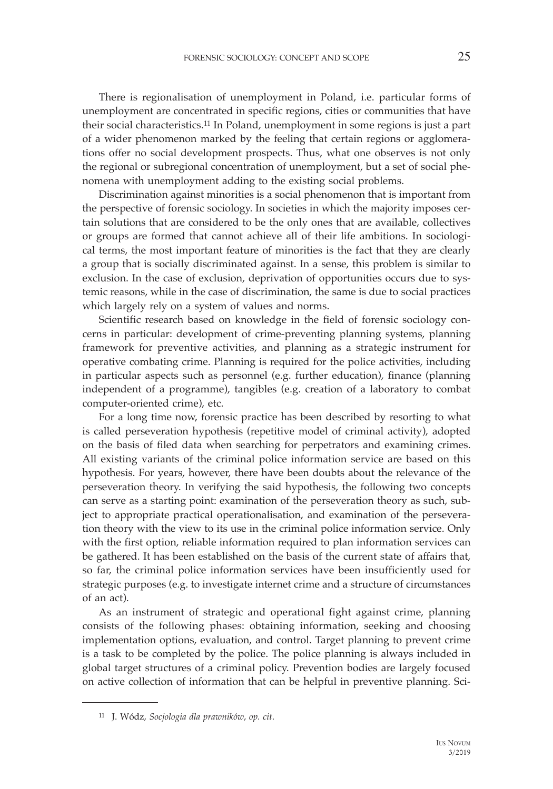There is regionalisation of unemployment in Poland, i.e. particular forms of unemployment are concentrated in specific regions, cities or communities that have their social characteristics.11 In Poland, unemployment in some regions is just a part of a wider phenomenon marked by the feeling that certain regions or agglomerations offer no social development prospects. Thus, what one observes is not only the regional or subregional concentration of unemployment, but a set of social phenomena with unemployment adding to the existing social problems.

Discrimination against minorities is a social phenomenon that is important from the perspective of forensic sociology. In societies in which the majority imposes certain solutions that are considered to be the only ones that are available, collectives or groups are formed that cannot achieve all of their life ambitions. In sociological terms, the most important feature of minorities is the fact that they are clearly a group that is socially discriminated against. In a sense, this problem is similar to exclusion. In the case of exclusion, deprivation of opportunities occurs due to systemic reasons, while in the case of discrimination, the same is due to social practices which largely rely on a system of values and norms.

Scientific research based on knowledge in the field of forensic sociology concerns in particular: development of crime-preventing planning systems, planning framework for preventive activities, and planning as a strategic instrument for operative combating crime. Planning is required for the police activities, including in particular aspects such as personnel (e.g. further education), finance (planning independent of a programme), tangibles (e.g. creation of a laboratory to combat computer-oriented crime), etc.

For a long time now, forensic practice has been described by resorting to what is called perseveration hypothesis (repetitive model of criminal activity), adopted on the basis of filed data when searching for perpetrators and examining crimes. All existing variants of the criminal police information service are based on this hypothesis. For years, however, there have been doubts about the relevance of the perseveration theory. In verifying the said hypothesis, the following two concepts can serve as a starting point: examination of the perseveration theory as such, subject to appropriate practical operationalisation, and examination of the perseveration theory with the view to its use in the criminal police information service. Only with the first option, reliable information required to plan information services can be gathered. It has been established on the basis of the current state of affairs that, so far, the criminal police information services have been insufficiently used for strategic purposes (e.g. to investigate internet crime and a structure of circumstances of an act).

As an instrument of strategic and operational fight against crime, planning consists of the following phases: obtaining information, seeking and choosing implementation options, evaluation, and control. Target planning to prevent crime is a task to be completed by the police. The police planning is always included in global target structures of a criminal policy. Prevention bodies are largely focused on active collection of information that can be helpful in preventive planning. Sci-

<sup>11</sup> J. Wódz, *Socjologia dla prawników*, *op. cit*.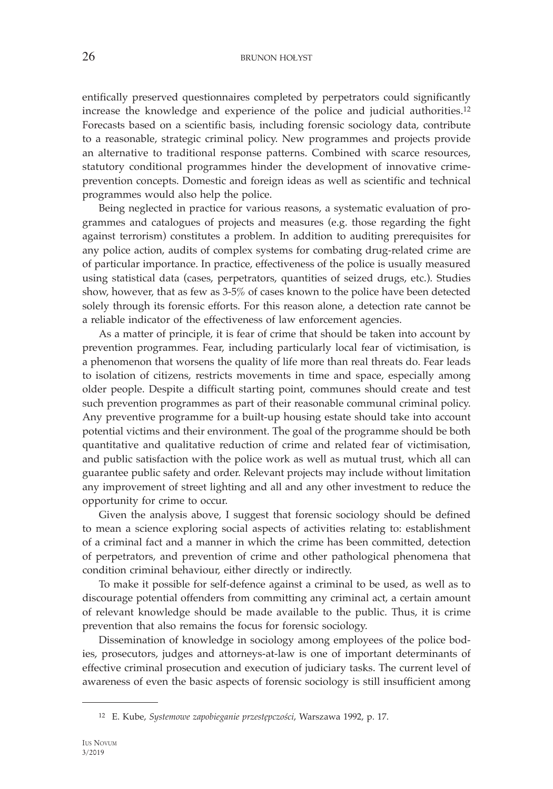entifically preserved questionnaires completed by perpetrators could significantly increase the knowledge and experience of the police and judicial authorities.12 Forecasts based on a scientific basis, including forensic sociology data, contribute to a reasonable, strategic criminal policy. New programmes and projects provide an alternative to traditional response patterns. Combined with scarce resources, statutory conditional programmes hinder the development of innovative crimeprevention concepts. Domestic and foreign ideas as well as scientific and technical programmes would also help the police.

Being neglected in practice for various reasons, a systematic evaluation of programmes and catalogues of projects and measures (e.g. those regarding the fight against terrorism) constitutes a problem. In addition to auditing prerequisites for any police action, audits of complex systems for combating drug-related crime are of particular importance. In practice, effectiveness of the police is usually measured using statistical data (cases, perpetrators, quantities of seized drugs, etc.). Studies show, however, that as few as 3-5% of cases known to the police have been detected solely through its forensic efforts. For this reason alone, a detection rate cannot be a reliable indicator of the effectiveness of law enforcement agencies.

As a matter of principle, it is fear of crime that should be taken into account by prevention programmes. Fear, including particularly local fear of victimisation, is a phenomenon that worsens the quality of life more than real threats do. Fear leads to isolation of citizens, restricts movements in time and space, especially among older people. Despite a difficult starting point, communes should create and test such prevention programmes as part of their reasonable communal criminal policy. Any preventive programme for a built-up housing estate should take into account potential victims and their environment. The goal of the programme should be both quantitative and qualitative reduction of crime and related fear of victimisation, and public satisfaction with the police work as well as mutual trust, which all can guarantee public safety and order. Relevant projects may include without limitation any improvement of street lighting and all and any other investment to reduce the opportunity for crime to occur.

Given the analysis above, I suggest that forensic sociology should be defined to mean a science exploring social aspects of activities relating to: establishment of a criminal fact and a manner in which the crime has been committed, detection of perpetrators, and prevention of crime and other pathological phenomena that condition criminal behaviour, either directly or indirectly.

To make it possible for self-defence against a criminal to be used, as well as to discourage potential offenders from committing any criminal act, a certain amount of relevant knowledge should be made available to the public. Thus, it is crime prevention that also remains the focus for forensic sociology.

Dissemination of knowledge in sociology among employees of the police bodies, prosecutors, judges and attorneys-at-law is one of important determinants of effective criminal prosecution and execution of judiciary tasks. The current level of awareness of even the basic aspects of forensic sociology is still insufficient among

<sup>12</sup> E. Kube, *Systemowe zapobieganie przestępczości*, Warszawa 1992, p. 17.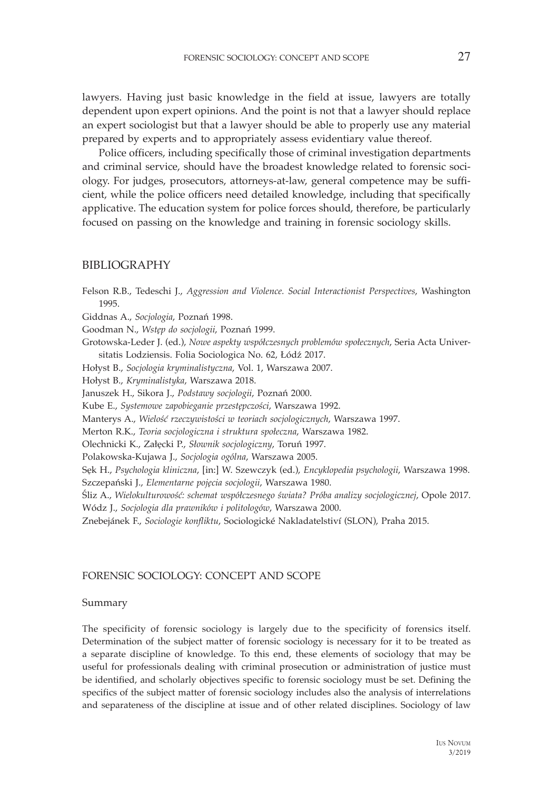lawyers. Having just basic knowledge in the field at issue, lawyers are totally dependent upon expert opinions. And the point is not that a lawyer should replace an expert sociologist but that a lawyer should be able to properly use any material prepared by experts and to appropriately assess evidentiary value thereof.

Police officers, including specifically those of criminal investigation departments and criminal service, should have the broadest knowledge related to forensic sociology. For judges, prosecutors, attorneys-at-law, general competence may be sufficient, while the police officers need detailed knowledge, including that specifically applicative. The education system for police forces should, therefore, be particularly focused on passing on the knowledge and training in forensic sociology skills.

# BIBLIOGRAPHY

Felson R.B., Tedeschi J., *Aggression and Violence. Social Interactionist Perspectives*, Washington 1995. Giddnas A., *Socjologia*, Poznań 1998.

Goodman N., *Wstęp do socjologii*, Poznań 1999.

Grotowska-Leder J. (ed.), *Nowe aspekty współczesnych problemów społecznych*, Seria Acta Universitatis Lodziensis. Folia Sociologica No. 62, Łódź 2017.

Hołyst B., *Socjologia kryminalistyczna*, Vol. 1, Warszawa 2007.

Hołyst B., *Kryminalistyka*, Warszawa 2018.

Januszek H., Sikora J., *Podstawy socjologii*, Poznań 2000.

Kube E., *Systemowe zapobieganie przestępczości*, Warszawa 1992.

Manterys A., *Wielość rzeczywistości w teoriach socjologicznych*, Warszawa 1997.

Merton R.K., *Teoria socjologiczna i struktura społeczna*, Warszawa 1982.

Olechnicki K., Załęcki P., *Słownik socjologiczny*, Toruń 1997.

Polakowska-Kujawa J., *Socjologia ogólna*, Warszawa 2005.

Sęk H., *Psychologia kliniczna*, [in:] W. Szewczyk (ed.), *Encyklopedia psychologii*, Warszawa 1998.

Szczepański J., *Elementarne pojęcia socjologii*, Warszawa 1980.

Śliz A., *Wielokulturowość: schemat współczesnego świata? Próba analizy socjologicznej*, Opole 2017. Wódz J., *Socjologia dla prawników i politologów*, Warszawa 2000.

Znebejánek F., *Sociologie konfliktu*, Sociologické Nakladatelstiví (SLON), Praha 2015.

### FORENSIC SOCIOLOGY: CONCEPT AND SCOPE

### Summary

The specificity of forensic sociology is largely due to the specificity of forensics itself. Determination of the subject matter of forensic sociology is necessary for it to be treated as a separate discipline of knowledge. To this end, these elements of sociology that may be useful for professionals dealing with criminal prosecution or administration of justice must be identified, and scholarly objectives specific to forensic sociology must be set. Defining the specifics of the subject matter of forensic sociology includes also the analysis of interrelations and separateness of the discipline at issue and of other related disciplines. Sociology of law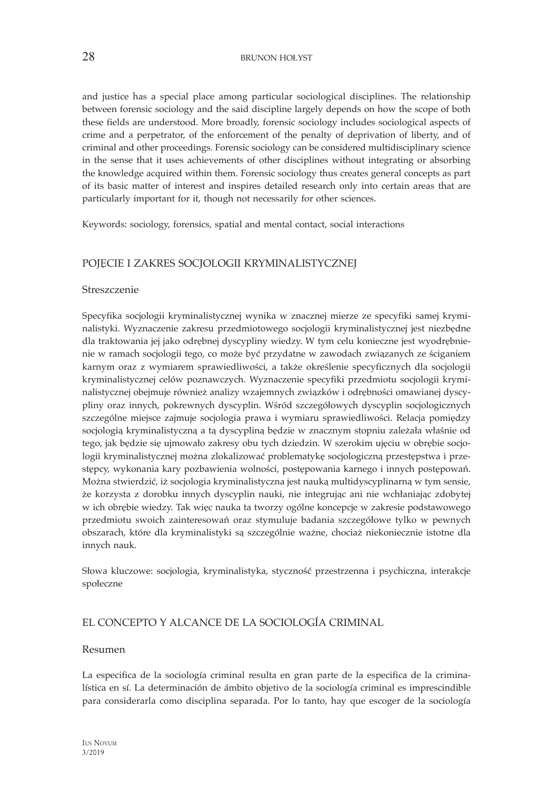and justice has a special place among particular sociological disciplines. The relationship between forensic sociology and the said discipline largely depends on how the scope of both these fields are understood. More broadly, forensic sociology includes sociological aspects of crime and a perpetrator, of the enforcement of the penalty of deprivation of liberty, and of criminal and other proceedings. Forensic sociology can be considered multidisciplinary science in the sense that it uses achievements of other disciplines without integrating or absorbing the knowledge acquired within them. Forensic sociology thus creates general concepts as part of its basic matter of interest and inspires detailed research only into certain areas that are particularly important for it, though not necessarily for other sciences.

Keywords: sociology, forensics, spatial and mental contact, social interactions

# POJĘCIE I ZAKRES SOCJOLOGII KRYMINALISTYCZNEJ

### Streszczenie

Specyfika socjologii kryminalistycznej wynika w znacznej mierze ze specyfiki samej kryminalistyki. Wyznaczenie zakresu przedmiotowego socjologii kryminalistycznej jest niezbędne dla traktowania jej jako odrębnej dyscypliny wiedzy. W tym celu konieczne jest wyodrębnienie w ramach socjologii tego, co może być przydatne w zawodach związanych ze ściganiem karnym oraz z wymiarem sprawiedliwości, a także określenie specyficznych dla socjologii kryminalistycznej celów poznawczych. Wyznaczenie specyfiki przedmiotu socjologii kryminalistycznej obejmuje również analizy wzajemnych związków i odrębności omawianej dyscypliny oraz innych, pokrewnych dyscyplin. Wśród szczegółowych dyscyplin socjologicznych szczególne miejsce zajmuje socjologia prawa i wymiaru sprawiedliwości. Relacja pomiędzy socjologią kryminalistyczną a tą dyscypliną będzie w znacznym stopniu zależała właśnie od tego, jak będzie się ujmowało zakresy obu tych dziedzin. W szerokim ujęciu w obrębie socjologii kryminalistycznej można zlokalizować problematykę socjologiczną przestępstwa i przestępcy, wykonania kary pozbawienia wolności, postępowania karnego i innych postępowań. Można stwierdzić, iż socjologia kryminalistyczna jest nauką multidyscyplinarną w tym sensie, że korzysta z dorobku innych dyscyplin nauki, nie integrując ani nie wchłaniając zdobytej w ich obrębie wiedzy. Tak więc nauka ta tworzy ogólne koncepcje w zakresie podstawowego przedmiotu swoich zainteresowań oraz stymuluje badania szczegółowe tylko w pewnych obszarach, które dla kryminalistyki są szczególnie ważne, chociaż niekoniecznie istotne dla innych nauk.

Słowa kluczowe: socjologia, kryminalistyka, styczność przestrzenna i psychiczna, interakcje społeczne

# EL CONCEPTO Y ALCANCE DE LA SOCIOLOGÍA CRIMINAL

### Resumen

La especifica de la sociología criminal resulta en gran parte de la especifica de la criminalística en sí. La determinación de ámbito objetivo de la sociología criminal es imprescindible para considerarla como disciplina separada. Por lo tanto, hay que escoger de la sociología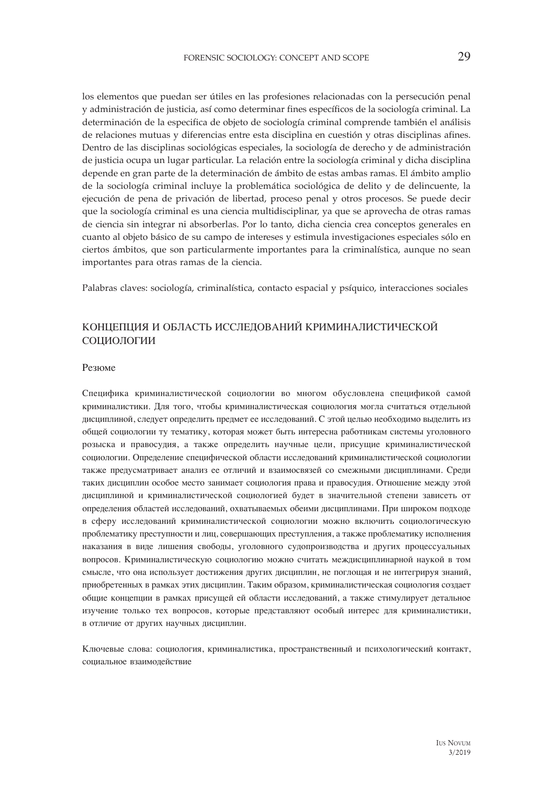los elementos que puedan ser útiles en las profesiones relacionadas con la persecución penal y administración de justicia, así como determinar fines específicos de la sociología criminal. La determinación de la especifica de objeto de sociología criminal comprende también el análisis de relaciones mutuas y diferencias entre esta disciplina en cuestión y otras disciplinas afines. Dentro de las disciplinas sociológicas especiales, la sociología de derecho y de administración de justicia ocupa un lugar particular. La relación entre la sociología criminal y dicha disciplina depende en gran parte de la determinación de ámbito de estas ambas ramas. El ámbito amplio de la sociología criminal incluye la problemática sociológica de delito y de delincuente, la ejecución de pena de privación de libertad, proceso penal y otros procesos. Se puede decir que la sociología criminal es una ciencia multidisciplinar, ya que se aprovecha de otras ramas de ciencia sin integrar ni absorberlas. Por lo tanto, dicha ciencia crea conceptos generales en cuanto al objeto básico de su campo de intereses y estimula investigaciones especiales sólo en ciertos ámbitos, que son particularmente importantes para la criminalística, aunque no sean importantes para otras ramas de la ciencia.

Palabras claves: sociología, criminalística, contacto espacial y psíquico, interacciones sociales

# КОНЦЕПЦИЯ И ОБЛАСТЬ ИССЛЕДОВАНИЙ КРИМИНАЛИСТИЧЕСКОЙ СОЦИОЛОГИИ

#### Резюме

Специфика криминалистической социологии во многом обусловлена спецификой самой криминалистики. Для того, чтобы криминалистическая социология могла считаться отдельной дисциплиной, следует определить предмет ее исследований. С этой целью необходимо выделить из общей социологии ту тематику, которая может быть интересна работникам системы уголовного розыска и правосудия, а также определить научные цели, присущие криминалистической социологии. Определение специфической области исследований криминалистической социологии также предусматривает анализ ее отличий и взаимосвязей со смежными дисциплинами. Среди таких дисциплин особое место занимает социология права и правосудия. Отношение между этой дисциплиной и криминалистической социологией будет в значительной степени зависеть от определения областей исследований, охватываемых обеими дисциплинами. При широком подходе в сферу исследований криминалистической социологии можно включить социологическую проблематику преступности и лиц, совершающих преступления, а также проблематику исполнения наказания в виде лишения свободы, уголовного судопроизводства и других процессуальных вопросов. Криминалистическую социологию можно считать междисциплинарной наукой в том смысле, что она использует достижения других дисциплин, не поглощая и не интегрируя знаний, приобретенных в рамках этих дисциплин. Таким образом, криминалистическая социология создает общие концепции в рамках присущей ей области исследований, а также стимулирует детальное изучение только тех вопросов, которые представляют особый интерес для криминалистики, в отличие от других научных дисциплин.

Ключевые слова: социология, криминалистика, пространственный и психологический контакт, социальное взаимодействие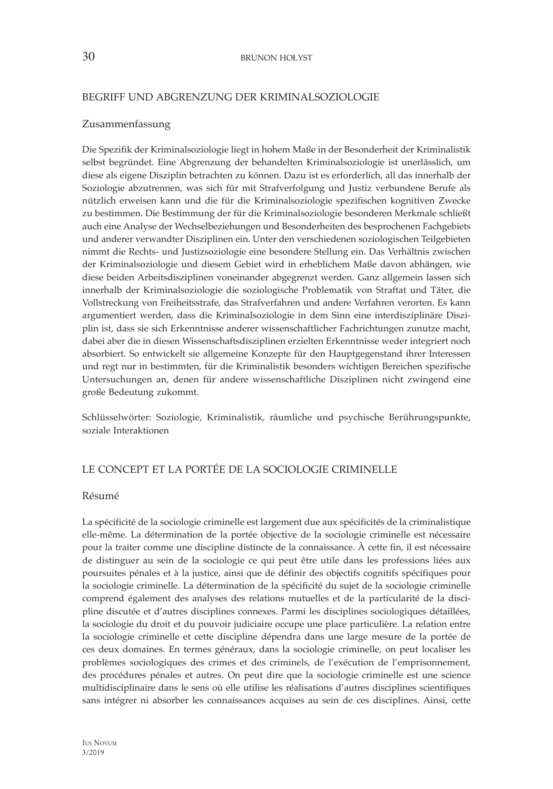### BEGRIFF UND ABGRENZUNG DER KRIMINALSOZIOLOGIE

### Zusammenfassung

Die Spezifik der Kriminalsoziologie liegt in hohem Maße in der Besonderheit der Kriminalistik selbst begründet. Eine Abgrenzung der behandelten Kriminalsoziologie ist unerlässlich, um diese als eigene Disziplin betrachten zu können. Dazu ist es erforderlich, all das innerhalb der Soziologie abzutrennen, was sich für mit Strafverfolgung und Justiz verbundene Berufe als nützlich erweisen kann und die für die Kriminalsoziologie spezifischen kognitiven Zwecke zu bestimmen. Die Bestimmung der für die Kriminalsoziologie besonderen Merkmale schließt auch eine Analyse der Wechselbeziehungen und Besonderheiten des besprochenen Fachgebiets und anderer verwandter Disziplinen ein. Unter den verschiedenen soziologischen Teilgebieten nimmt die Rechts- und Justizsoziologie eine besondere Stellung ein. Das Verhältnis zwischen der Kriminalsoziologie und diesem Gebiet wird in erheblichem Maße davon abhängen, wie diese beiden Arbeitsdisziplinen voneinander abgegrenzt werden. Ganz allgemein lassen sich innerhalb der Kriminalsoziologie die soziologische Problematik von Straftat und Täter, die Vollstreckung von Freiheitsstrafe, das Strafverfahren und andere Verfahren verorten. Es kann argumentiert werden, dass die Kriminalsoziologie in dem Sinn eine interdisziplinäre Disziplin ist, dass sie sich Erkenntnisse anderer wissenschaftlicher Fachrichtungen zunutze macht, dabei aber die in diesen Wissenschaftsdisziplinen erzielten Erkenntnisse weder integriert noch absorbiert. So entwickelt sie allgemeine Konzepte für den Hauptgegenstand ihrer Interessen und regt nur in bestimmten, für die Kriminalistik besonders wichtigen Bereichen spezifische Untersuchungen an, denen für andere wissenschaftliche Disziplinen nicht zwingend eine große Bedeutung zukommt.

Schlüsselwörter: Soziologie, Kriminalistik, räumliche und psychische Berührungspunkte, soziale Interaktionen

# LE CONCEPT ET LA PORTÉE DE LA SOCIOLOGIE CRIMINELLE

### Résumé

La spécificité de la sociologie criminelle est largement due aux spécificités de la criminalistique elle-même. La détermination de la portée objective de la sociologie criminelle est nécessaire pour la traiter comme une discipline distincte de la connaissance. À cette fin, il est nécessaire de distinguer au sein de la sociologie ce qui peut être utile dans les professions liées aux poursuites pénales et à la justice, ainsi que de définir des objectifs cognitifs spécifiques pour la sociologie criminelle. La détermination de la spécificité du sujet de la sociologie criminelle comprend également des analyses des relations mutuelles et de la particularité de la discipline discutée et d'autres disciplines connexes. Parmi les disciplines sociologiques détaillées, la sociologie du droit et du pouvoir judiciaire occupe une place particulière. La relation entre la sociologie criminelle et cette discipline dépendra dans une large mesure de la portée de ces deux domaines. En termes généraux, dans la sociologie criminelle, on peut localiser les problèmes sociologiques des crimes et des criminels, de l'exécution de l'emprisonnement, des procédures pénales et autres. On peut dire que la sociologie criminelle est une science multidisciplinaire dans le sens où elle utilise les réalisations d'autres disciplines scientifiques sans intégrer ni absorber les connaissances acquises au sein de ces disciplines. Ainsi, cette